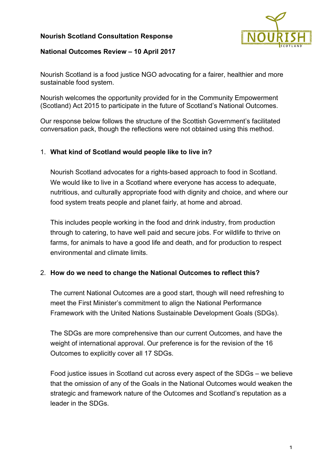## **Nourish Scotland Consultation Response**



### **National Outcomes Review – 10 April 2017**

Nourish Scotland is a food justice NGO advocating for a fairer, healthier and more sustainable food system.

Nourish welcomes the opportunity provided for in the Community Empowerment (Scotland) Act 2015 to participate in the future of Scotland's National Outcomes.

Our response below follows the structure of the Scottish Government's facilitated conversation pack, though the reflections were not obtained using this method.

## 1. **What kind of Scotland would people like to live in?**

Nourish Scotland advocates for a rights-based approach to food in Scotland. We would like to live in a Scotland where everyone has access to adequate, nutritious, and culturally appropriate food with dignity and choice, and where our food system treats people and planet fairly, at home and abroad.

This includes people working in the food and drink industry, from production through to catering, to have well paid and secure jobs. For wildlife to thrive on farms, for animals to have a good life and death, and for production to respect environmental and climate limits.

### 2. **How do we need to change the National Outcomes to reflect this?**

The current National Outcomes are a good start, though will need refreshing to meet the First Minister's commitment to align the National Performance Framework with the United Nations Sustainable Development Goals (SDGs).

The SDGs are more comprehensive than our current Outcomes, and have the weight of international approval. Our preference is for the revision of the 16 Outcomes to explicitly cover all 17 SDGs.

Food justice issues in Scotland cut across every aspect of the SDGs – we believe that the omission of any of the Goals in the National Outcomes would weaken the strategic and framework nature of the Outcomes and Scotland's reputation as a leader in the SDGs.